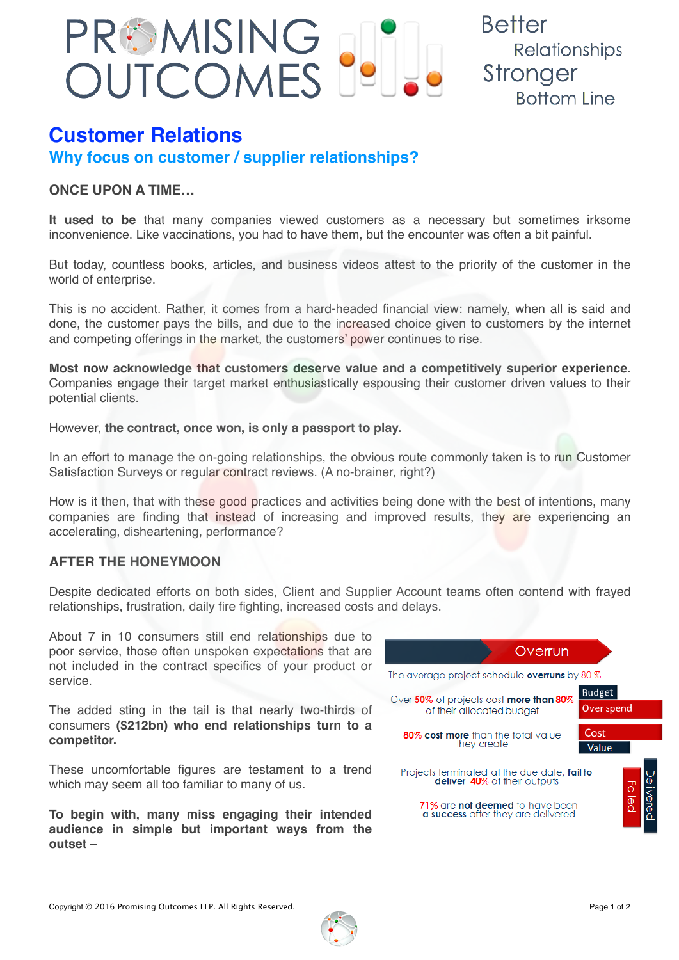

**Better** Relationships Stronger **Bottom Line** 

# **Customer Relations**

**Why focus on customer / supplier relationships?**

## **ONCE UPON A TIME…**

**It used to be** that many companies viewed customers as a necessary but sometimes irksome inconvenience. Like vaccinations, you had to have them, but the encounter was often a bit painful.

But today, countless books, articles, and business videos attest to the priority of the customer in the world of enterprise.

This is no accident. Rather, it comes from a hard-headed financial view: namely, when all is said and done, the customer pays the bills, and due to the increased choice given to customers by the internet and competing offerings in the market, the customers' power continues to rise.

**Most now acknowledge that customers deserve value and a competitively superior experience**. Companies engage their target market enthusiastically espousing their customer driven values to their potential clients.

However, **the contract, once won, is only a passport to play.**

In an effort to manage the on-going relationships, the obvious route commonly taken is to run Customer Satisfaction Surveys or regular contract reviews. (A no-brainer, right?)

How is it then, that with these good practices and activities being done with the best of intentions, many companies are finding that instead of increasing and improved results, they are experiencing an accelerating, disheartening, performance?

## **AFTER THE HONEYMOON**

Despite dedicated efforts on both sides, Client and Supplier Account teams often contend with frayed relationships, frustration, daily fire fighting, increased costs and delays.

About 7 in 10 consumers still end relationships due to poor service, those often unspoken expectations that are not included in the contract specifics of your product or service.

The added sting in the tail is that nearly two-thirds of consumers **(\$212bn) who end relationships turn to a competitor.**

These uncomfortable figures are testament to a trend which may seem all too familiar to many of us.

**To begin with, many miss engaging their intended audience in simple but important ways from the outset –**